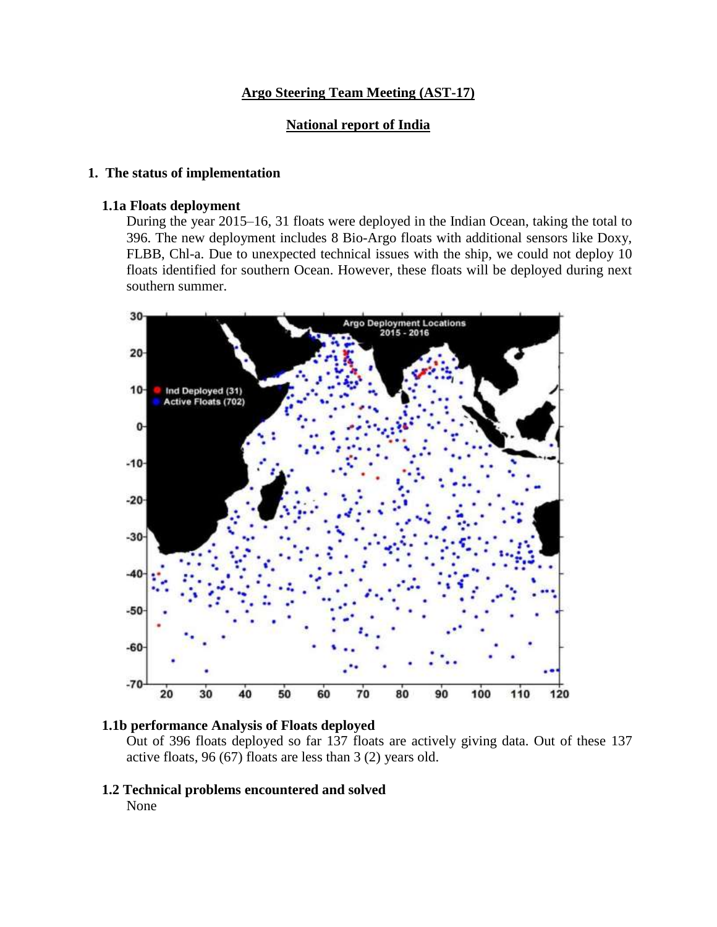## **Argo Steering Team Meeting (AST-17)**

### **National report of India**

### **1. The status of implementation**

#### **1.1a Floats deployment**

During the year 2015–16, 31 floats were deployed in the Indian Ocean, taking the total to 396. The new deployment includes 8 Bio-Argo floats with additional sensors like Doxy, FLBB, Chl-a. Due to unexpected technical issues with the ship, we could not deploy 10 floats identified for southern Ocean. However, these floats will be deployed during next southern summer.





Out of 396 floats deployed so far 137 floats are actively giving data. Out of these 137 active floats, 96 (67) floats are less than 3 (2) years old.

 **1.2 Technical problems encountered and solved** None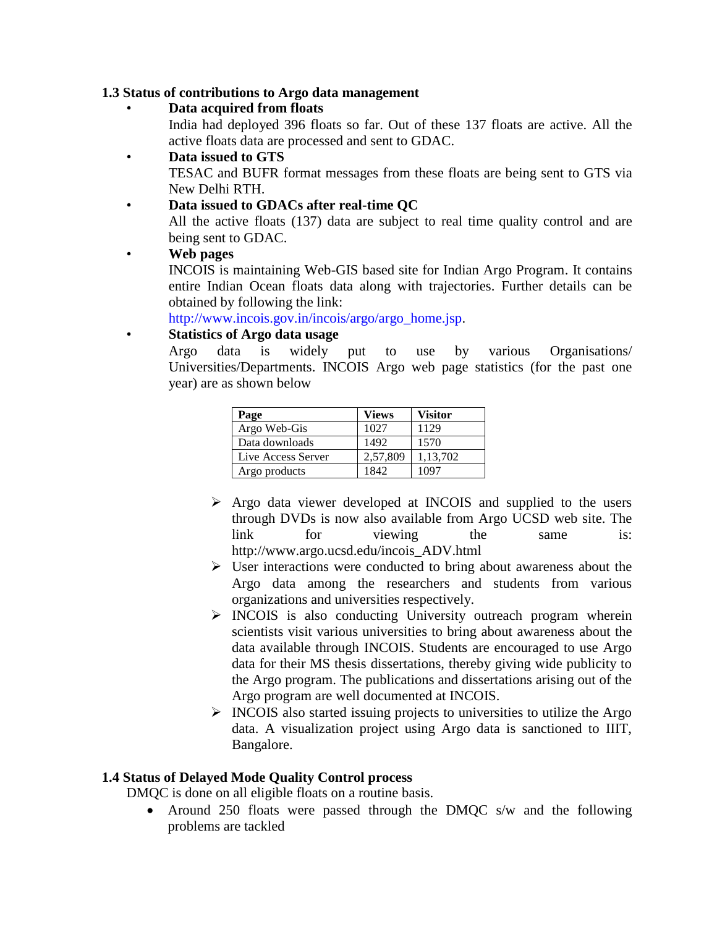## **1.3 Status of contributions to Argo data management**

### • **Data acquired from floats**

India had deployed 396 floats so far. Out of these 137 floats are active. All the active floats data are processed and sent to GDAC.

## • **Data issued to GTS**

TESAC and BUFR format messages from these floats are being sent to GTS via New Delhi RTH.

## • **Data issued to GDACs after real-time QC**

All the active floats (137) data are subject to real time quality control and are being sent to GDAC.

## • **Web pages**

INCOIS is maintaining Web-GIS based site for Indian Argo Program. It contains entire Indian Ocean floats data along with trajectories. Further details can be obtained by following the link:

http://www.incois.gov.in/incois/argo/argo\_home.jsp.

# • **Statistics of Argo data usage**

Argo data is widely put to use by various Organisations/ Universities/Departments. INCOIS Argo web page statistics (for the past one year) are as shown below

| Page               | Views    | Visitor  |
|--------------------|----------|----------|
| Argo Web-Gis       | 1027     | 1129     |
| Data downloads     | 1492     | 1570     |
| Live Access Server | 2,57,809 | 1,13,702 |
| Argo products      | 1842     | 1097     |

- $\triangleright$  Argo data viewer developed at INCOIS and supplied to the users through DVDs is now also available from Argo UCSD web site. The link for viewing the same is: http://www.argo.ucsd.edu/incois\_ADV.html
- $\triangleright$  User interactions were conducted to bring about awareness about the Argo data among the researchers and students from various organizations and universities respectively.
- $\triangleright$  INCOIS is also conducting University outreach program wherein scientists visit various universities to bring about awareness about the data available through INCOIS. Students are encouraged to use Argo data for their MS thesis dissertations, thereby giving wide publicity to the Argo program. The publications and dissertations arising out of the Argo program are well documented at INCOIS.
- $\triangleright$  INCOIS also started issuing projects to universities to utilize the Argo data. A visualization project using Argo data is sanctioned to IIIT, Bangalore.

# **1.4 Status of Delayed Mode Quality Control process**

DMQC is done on all eligible floats on a routine basis.

• Around 250 floats were passed through the DMQC s/w and the following problems are tackled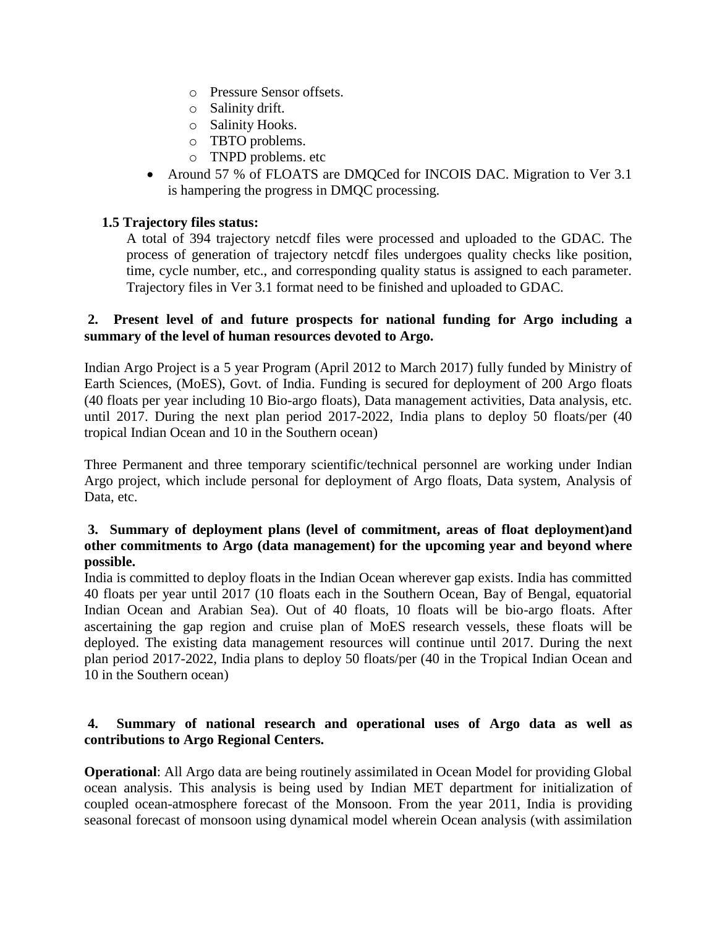- o Pressure Sensor offsets.
- o Salinity drift.
- o Salinity Hooks.
- o TBTO problems.
- o TNPD problems. etc
- Around 57 % of FLOATS are DMQCed for INCOIS DAC. Migration to Ver 3.1 is hampering the progress in DMQC processing.

# **1.5 Trajectory files status:**

A total of 394 trajectory netcdf files were processed and uploaded to the GDAC. The process of generation of trajectory netcdf files undergoes quality checks like position, time, cycle number, etc., and corresponding quality status is assigned to each parameter. Trajectory files in Ver 3.1 format need to be finished and uploaded to GDAC.

## **2. Present level of and future prospects for national funding for Argo including a summary of the level of human resources devoted to Argo.**

Indian Argo Project is a 5 year Program (April 2012 to March 2017) fully funded by Ministry of Earth Sciences, (MoES), Govt. of India. Funding is secured for deployment of 200 Argo floats (40 floats per year including 10 Bio-argo floats), Data management activities, Data analysis, etc. until 2017. During the next plan period 2017-2022, India plans to deploy 50 floats/per (40 tropical Indian Ocean and 10 in the Southern ocean)

Three Permanent and three temporary scientific/technical personnel are working under Indian Argo project, which include personal for deployment of Argo floats, Data system, Analysis of Data, etc.

## **3. Summary of deployment plans (level of commitment, areas of float deployment)and other commitments to Argo (data management) for the upcoming year and beyond where possible.**

India is committed to deploy floats in the Indian Ocean wherever gap exists. India has committed 40 floats per year until 2017 (10 floats each in the Southern Ocean, Bay of Bengal, equatorial Indian Ocean and Arabian Sea). Out of 40 floats, 10 floats will be bio-argo floats. After ascertaining the gap region and cruise plan of MoES research vessels, these floats will be deployed. The existing data management resources will continue until 2017. During the next plan period 2017-2022, India plans to deploy 50 floats/per (40 in the Tropical Indian Ocean and 10 in the Southern ocean)

# **4. Summary of national research and operational uses of Argo data as well as contributions to Argo Regional Centers.**

**Operational**: All Argo data are being routinely assimilated in Ocean Model for providing Global ocean analysis. This analysis is being used by Indian MET department for initialization of coupled ocean-atmosphere forecast of the Monsoon. From the year 2011, India is providing seasonal forecast of monsoon using dynamical model wherein Ocean analysis (with assimilation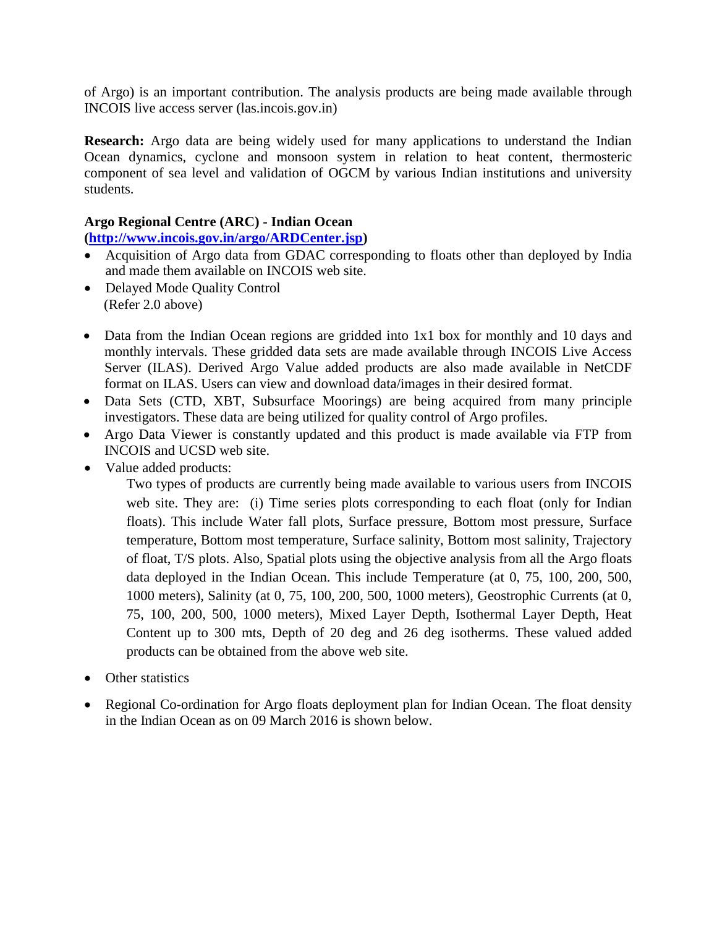of Argo) is an important contribution. The analysis products are being made available through INCOIS live access server (las.incois.gov.in)

**Research:** Argo data are being widely used for many applications to understand the Indian Ocean dynamics, cyclone and monsoon system in relation to heat content, thermosteric component of sea level and validation of OGCM by various Indian institutions and university students.

## **Argo Regional Centre (ARC) - Indian Ocean**

**[\(http://www.incois.gov.in/argo/ARDCenter.jsp\)](http://www.incois.gov.in/argo/ARDCenter.jsp)** 

- Acquisition of Argo data from GDAC corresponding to floats other than deployed by India and made them available on INCOIS web site.
- Delayed Mode Quality Control (Refer 2.0 above)
- Data from the Indian Ocean regions are gridded into 1x1 box for monthly and 10 days and monthly intervals. These gridded data sets are made available through INCOIS Live Access Server (ILAS). Derived Argo Value added products are also made available in NetCDF format on ILAS. Users can view and download data/images in their desired format.
- Data Sets (CTD, XBT, Subsurface Moorings) are being acquired from many principle investigators. These data are being utilized for quality control of Argo profiles.
- Argo Data Viewer is constantly updated and this product is made available via FTP from INCOIS and UCSD web site.
- Value added products:

Two types of products are currently being made available to various users from INCOIS web site. They are: (i) Time series plots corresponding to each float (only for Indian floats). This include Water fall plots, Surface pressure, Bottom most pressure, Surface temperature, Bottom most temperature, Surface salinity, Bottom most salinity, Trajectory of float, T/S plots. Also, Spatial plots using the objective analysis from all the Argo floats data deployed in the Indian Ocean. This include Temperature (at 0, 75, 100, 200, 500, 1000 meters), Salinity (at 0, 75, 100, 200, 500, 1000 meters), Geostrophic Currents (at 0, 75, 100, 200, 500, 1000 meters), Mixed Layer Depth, Isothermal Layer Depth, Heat Content up to 300 mts, Depth of 20 deg and 26 deg isotherms. These valued added products can be obtained from the above web site.

- Other statistics
- Regional Co-ordination for Argo floats deployment plan for Indian Ocean. The float density in the Indian Ocean as on 09 March 2016 is shown below.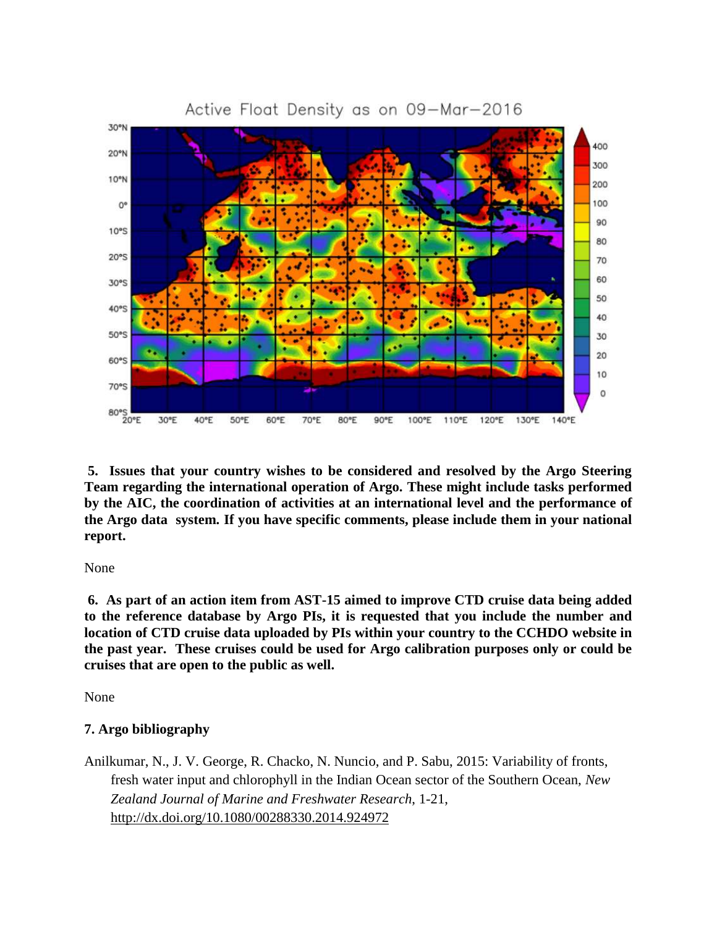

**5. Issues that your country wishes to be considered and resolved by the Argo Steering Team regarding the international operation of Argo. These might include tasks performed by the AIC, the coordination of activities at an international level and the performance of the Argo data system. If you have specific comments, please include them in your national report.**

None

**6. As part of an action item from AST-15 aimed to improve CTD cruise data being added to the reference database by Argo PIs, it is requested that you include the number and location of CTD cruise data uploaded by PIs within your country to the CCHDO website in the past year. These cruises could be used for Argo calibration purposes only or could be cruises that are open to the public as well.** 

None

# **7. Argo bibliography**

Anilkumar, N., J. V. George, R. Chacko, N. Nuncio, and P. Sabu, 2015: Variability of fronts, fresh water input and chlorophyll in the Indian Ocean sector of the Southern Ocean, *New Zealand Journal of Marine and Freshwater Research*, 1-21, <http://dx.doi.org/10.1080/00288330.2014.924972>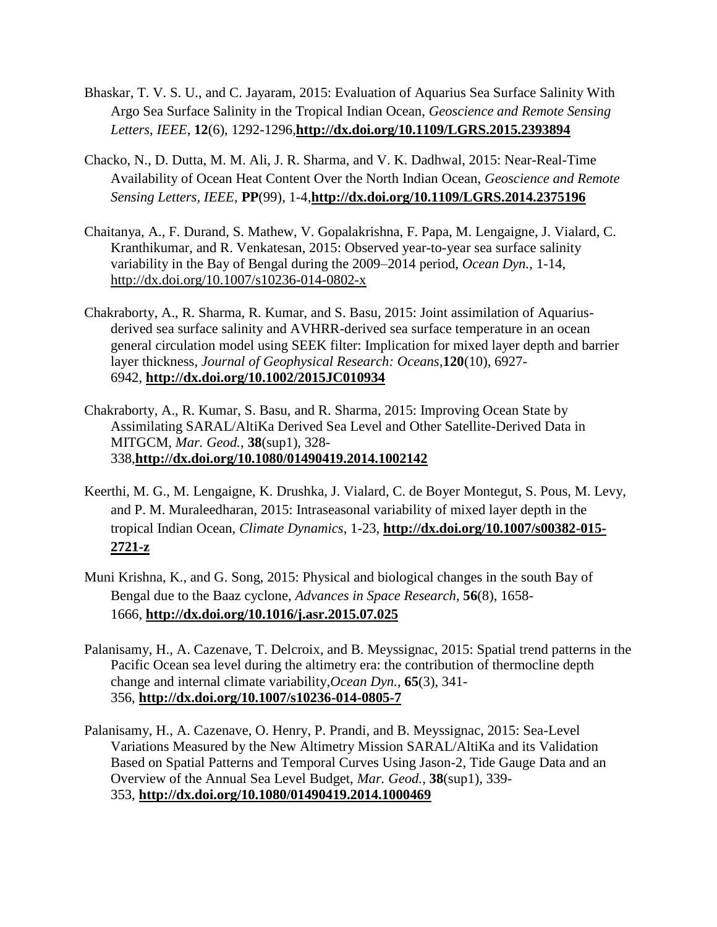- Bhaskar, T. V. S. U., and C. Jayaram, 2015: Evaluation of Aquarius Sea Surface Salinity With Argo Sea Surface Salinity in the Tropical Indian Ocean, *Geoscience and Remote Sensing Letters, IEEE*, **12**(6), 1292-1296,**<http://dx.doi.org/10.1109/LGRS.2015.2393894>**
- Chacko, N., D. Dutta, M. M. Ali, J. R. Sharma, and V. K. Dadhwal, 2015: Near-Real-Time Availability of Ocean Heat Content Over the North Indian Ocean, *Geoscience and Remote Sensing Letters, IEEE*, **PP**(99), 1-4,**<http://dx.doi.org/10.1109/LGRS.2014.2375196>**
- Chaitanya, A., F. Durand, S. Mathew, V. Gopalakrishna, F. Papa, M. Lengaigne, J. Vialard, C. Kranthikumar, and R. Venkatesan, 2015: Observed year-to-year sea surface salinity variability in the Bay of Bengal during the 2009–2014 period, *Ocean Dyn.*, 1-14, <http://dx.doi.org/10.1007/s10236-014-0802-x>
- Chakraborty, A., R. Sharma, R. Kumar, and S. Basu, 2015: Joint assimilation of Aquariusderived sea surface salinity and AVHRR-derived sea surface temperature in an ocean general circulation model using SEEK filter: Implication for mixed layer depth and barrier layer thickness, *Journal of Geophysical Research: Oceans*,**120**(10), 6927- 6942, **<http://dx.doi.org/10.1002/2015JC010934>**
- Chakraborty, A., R. Kumar, S. Basu, and R. Sharma, 2015: Improving Ocean State by Assimilating SARAL/AltiKa Derived Sea Level and Other Satellite-Derived Data in MITGCM, *Mar. Geod.*, **38**(sup1), 328- 338,**<http://dx.doi.org/10.1080/01490419.2014.1002142>**
- Keerthi, M. G., M. Lengaigne, K. Drushka, J. Vialard, C. de Boyer Montegut, S. Pous, M. Levy, and P. M. Muraleedharan, 2015: Intraseasonal variability of mixed layer depth in the tropical Indian Ocean, *Climate Dynamics*, 1-23, **[http://dx.doi.org/10.1007/s00382-015-](http://dx.doi.org/10.1007/s00382-015-2721-z) [2721-z](http://dx.doi.org/10.1007/s00382-015-2721-z)**
- Muni Krishna, K., and G. Song, 2015: Physical and biological changes in the south Bay of Bengal due to the Baaz cyclone, *Advances in Space Research*, **56**(8), 1658- 1666, **<http://dx.doi.org/10.1016/j.asr.2015.07.025>**
- Palanisamy, H., A. Cazenave, T. Delcroix, and B. Meyssignac, 2015: Spatial trend patterns in the Pacific Ocean sea level during the altimetry era: the contribution of thermocline depth change and internal climate variability,*Ocean Dyn.*, **65**(3), 341- 356, **<http://dx.doi.org/10.1007/s10236-014-0805-7>**
- Palanisamy, H., A. Cazenave, O. Henry, P. Prandi, and B. Meyssignac, 2015: Sea-Level Variations Measured by the New Altimetry Mission SARAL/AltiKa and its Validation Based on Spatial Patterns and Temporal Curves Using Jason-2, Tide Gauge Data and an Overview of the Annual Sea Level Budget, *Mar. Geod.*, **38**(sup1), 339- 353, **<http://dx.doi.org/10.1080/01490419.2014.1000469>**